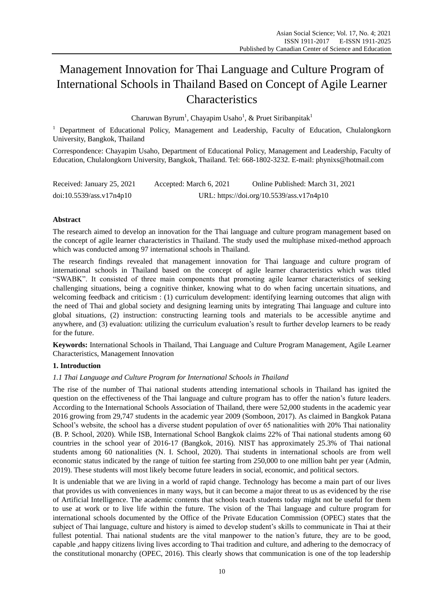# Management Innovation for Thai Language and Culture Program of International Schools in Thailand Based on Concept of Agile Learner Characteristics

Charuwan Byrum<sup>1</sup>, Chayapim Usaho<sup>1</sup>, & Pruet Siribanpitak<sup>1</sup>

<sup>1</sup> Department of Educational Policy, Management and Leadership, Faculty of Education, Chulalongkorn University, Bangkok, Thailand

Correspondence: Chayapim Usaho, Department of Educational Policy, Management and Leadership, Faculty of Education, Chulalongkorn University, Bangkok, Thailand. Tel: 668-1802-3232. E-mail: phynixs@hotmail.com

| Received: January 25, 2021 | Accepted: March 6, 2021 | Online Published: March 31, 2021          |
|----------------------------|-------------------------|-------------------------------------------|
| doi:10.5539/ass.v17n4p10   |                         | URL: https://doi.org/10.5539/ass.v17n4p10 |

## **Abstract**

The research aimed to develop an innovation for the Thai language and culture program management based on the concept of agile learner characteristics in Thailand. The study used the multiphase mixed-method approach which was conducted among 97 international schools in Thailand.

The research findings revealed that management innovation for Thai language and culture program of international schools in Thailand based on the concept of agile learner characteristics which was titled "SWABK". It consisted of three main components that promoting agile learner characteristics of seeking challenging situations, being a cognitive thinker, knowing what to do when facing uncertain situations, and welcoming feedback and criticism : (1) curriculum development: identifying learning outcomes that align with the need of Thai and global society and designing learning units by integrating Thai language and culture into global situations, (2) instruction: constructing learning tools and materials to be accessible anytime and anywhere, and (3) evaluation: utilizing the curriculum evaluation's result to further develop learners to be ready for the future.

**Keywords:** International Schools in Thailand, Thai Language and Culture Program Management, Agile Learner Characteristics, Management Innovation

## **1. Introduction**

## *1.1 Thai Language and Culture Program for International Schools in Thailand*

The rise of the number of Thai national students attending international schools in Thailand has ignited the question on the effectiveness of the Thai language and culture program has to offer the nation's future leaders. According to the International Schools Association of Thailand, there were 52,000 students in the academic year 2016 growing from 29,747 students in the academic year 2009 (Somboon, 2017). As claimed in Bangkok Patana School's website, the school has a diverse student population of over 65 nationalities with 20% Thai nationality (B. P. School, 2020). While ISB, International School Bangkok claims 22% of Thai national students among 60 countries in the school year of 2016-17 (Bangkok, 2016). NIST has approximately 25.3% of Thai national students among 60 nationalities (N. I. School, 2020). Thai students in international schools are from well economic status indicated by the range of tuition fee starting from 250,000 to one million baht per year (Admin, 2019). These students will most likely become future leaders in social, economic, and political sectors.

It is undeniable that we are living in a world of rapid change. Technology has become a main part of our lives that provides us with conveniences in many ways, but it can become a major threat to us as evidenced by the rise of Artificial Intelligence. The academic contents that schools teach students today might not be useful for them to use at work or to live life within the future. The vision of the Thai language and culture program for international schools documented by the Office of the Private Education Commission (OPEC) states that the subject of Thai language, culture and history is aimed to develop student's skills to communicate in Thai at their fullest potential. Thai national students are the vital manpower to the nation's future, they are to be good, capable ,and happy citizens living lives according to Thai tradition and culture, and adhering to the democracy of the constitutional monarchy (OPEC, 2016). This clearly shows that communication is one of the top leadership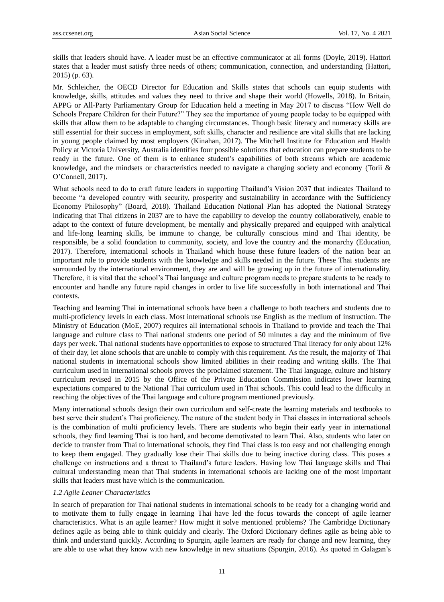skills that leaders should have. A leader must be an effective communicator at all forms (Doyle, 2019). Hattori states that a leader must satisfy three needs of others; communication, connection, and understanding (Hattori, 2015) (p. 63).

Mr. Schleicher, the OECD Director for Education and Skills states that schools can equip students with knowledge, skills, attitudes and values they need to thrive and shape their world (Howells, 2018). In Britain, APPG or All-Party Parliamentary Group for Education held a meeting in May 2017 to discuss "How Well do Schools Prepare Children for their Future?" They see the importance of young people today to be equipped with skills that allow them to be adaptable to changing circumstances. Though basic literacy and numeracy skills are still essential for their success in employment, soft skills, character and resilience are vital skills that are lacking in young people claimed by most employers (Kinahan, 2017). The Mitchell Institute for Education and Health Policy at Victoria University, Australia identifies four possible solutions that education can prepare students to be ready in the future. One of them is to enhance student's capabilities of both streams which are academic knowledge, and the mindsets or characteristics needed to navigate a changing society and economy (Torii & O'Connell, 2017).

What schools need to do to craft future leaders in supporting Thailand's Vision 2037 that indicates Thailand to become "a developed country with security, prosperity and sustainability in accordance with the Sufficiency Economy Philosophy" (Board, 2018). Thailand Education National Plan has adopted the National Strategy indicating that Thai citizens in 2037 are to have the capability to develop the country collaboratively, enable to adapt to the context of future development, be mentally and physically prepared and equipped with analytical and life-long learning skills, be immune to change, be culturally conscious mind and Thai identity, be responsible, be a solid foundation to community, society, and love the country and the monarchy (Education, 2017). Therefore, international schools in Thailand which house these future leaders of the nation bear an important role to provide students with the knowledge and skills needed in the future. These Thai students are surrounded by the international environment, they are and will be growing up in the future of internationality. Therefore, it is vital that the school's Thai language and culture program needs to prepare students to be ready to encounter and handle any future rapid changes in order to live life successfully in both international and Thai contexts.

Teaching and learning Thai in international schools have been a challenge to both teachers and students due to multi-proficiency levels in each class. Most international schools use English as the medium of instruction. The Ministry of Education (MoE, 2007) requires all international schools in Thailand to provide and teach the Thai language and culture class to Thai national students one period of 50 minutes a day and the minimum of five days per week. Thai national students have opportunities to expose to structured Thai literacy for only about 12% of their day, let alone schools that are unable to comply with this requirement. As the result, the majority of Thai national students in international schools show limited abilities in their reading and writing skills. The Thai curriculum used in international schools proves the proclaimed statement. The Thai language, culture and history curriculum revised in 2015 by the Office of the Private Education Commission indicates lower learning expectations compared to the National Thai curriculum used in Thai schools. This could lead to the difficulty in reaching the objectives of the Thai language and culture program mentioned previously.

Many international schools design their own curriculum and self-create the learning materials and textbooks to best serve their student's Thai proficiency. The nature of the student body in Thai classes in international schools is the combination of multi proficiency levels. There are students who begin their early year in international schools, they find learning Thai is too hard, and become demotivated to learn Thai. Also, students who later on decide to transfer from Thai to international schools, they find Thai class is too easy and not challenging enough to keep them engaged. They gradually lose their Thai skills due to being inactive during class. This poses a challenge on instructions and a threat to Thailand's future leaders. Having low Thai language skills and Thai cultural understanding mean that Thai students in international schools are lacking one of the most important skills that leaders must have which is the communication.

#### *1.2 Agile Leaner Characteristics*

In search of preparation for Thai national students in international schools to be ready for a changing world and to motivate them to fully engage in learning Thai have led the focus towards the concept of agile learner characteristics. What is an agile learner? How might it solve mentioned problems? The Cambridge Dictionary defines agile as being able to think quickly and clearly. The Oxford Dictionary defines agile as being able to think and understand quickly. According to Spurgin, agile learners are ready for change and new learning, they are able to use what they know with new knowledge in new situations (Spurgin, 2016). As quoted in Galagan's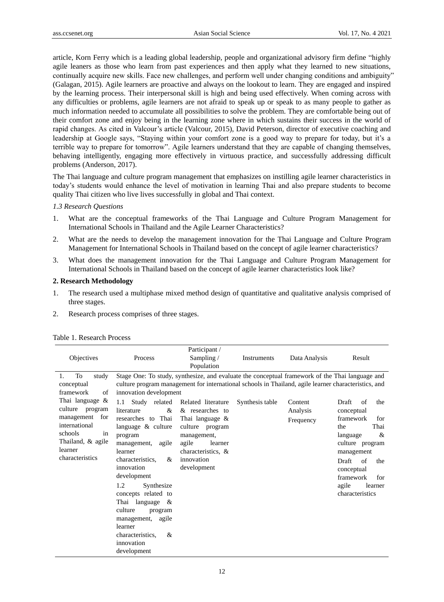article, Korn Ferry which is a leading global leadership, people and organizational advisory firm define "highly agile leaners as those who learn from past experiences and then apply what they learned to new situations, continually acquire new skills. Face new challenges, and perform well under changing conditions and ambiguity" (Galagan, 2015). Agile learners are proactive and always on the lookout to learn. They are engaged and inspired by the learning process. Their interpersonal skill is high and being used effectively. When coming across with any difficulties or problems, agile learners are not afraid to speak up or speak to as many people to gather as much information needed to accumulate all possibilities to solve the problem. They are comfortable being out of their comfort zone and enjoy being in the learning zone where in which sustains their success in the world of rapid changes. As cited in Valcour's article (Valcour, 2015), David Peterson, director of executive coaching and leadership at Google says, "Staying within your comfort zone is a good way to prepare for today, but it's a terrible way to prepare for tomorrow". Agile learners understand that they are capable of changing themselves, behaving intelligently, engaging more effectively in virtuous practice, and successfully addressing difficult problems (Anderson, 2017).

The Thai language and culture program management that emphasizes on instilling agile learner characteristics in today's students would enhance the level of motivation in learning Thai and also prepare students to become quality Thai citizen who live lives successfully in global and Thai context.

## *1.3 Research Questions*

- 1. What are the conceptual frameworks of the Thai Language and Culture Program Management for International Schools in Thailand and the Agile Learner Characteristics?
- 2. What are the needs to develop the management innovation for the Thai Language and Culture Program Management for International Schools in Thailand based on the concept of agile learner characteristics?
- 3. What does the management innovation for the Thai Language and Culture Program Management for International Schools in Thailand based on the concept of agile learner characteristics look like?

## **2. Research Methodology**

- 1. The research used a multiphase mixed method design of quantitative and qualitative analysis comprised of three stages.
- 2. Research process comprises of three stages.

| Objectives                                                                                                                                                              | Process                                                                                                                                                                                                                                                                                                                                                        | Participant /<br>Sampling $/$<br>Population                                                                       | Instruments     | Data Analysis                    | Result                                                                                                    |
|-------------------------------------------------------------------------------------------------------------------------------------------------------------------------|----------------------------------------------------------------------------------------------------------------------------------------------------------------------------------------------------------------------------------------------------------------------------------------------------------------------------------------------------------------|-------------------------------------------------------------------------------------------------------------------|-----------------|----------------------------------|-----------------------------------------------------------------------------------------------------------|
| To<br>study<br>1.<br>conceptual<br>framework<br>of<br>Thai language &<br>culture<br>program<br>for<br>management<br>international<br>schools<br>in<br>Thailand, & agile | Stage One: To study, synthesize, and evaluate the conceptual framework of the Thai language and<br>culture program management for international schools in Thailand, agile learner characteristics, and<br>innovation development<br>Study related<br>1.1<br>&<br>literature<br>researches to Thai<br>language $\&$ culture<br>program<br>management,<br>agile | Related literature<br>& researches to<br>Thai language $\&$<br>culture program<br>management,<br>agile<br>learner | Synthesis table | Content<br>Analysis<br>Frequency | Draft<br>of<br>the<br>conceptual<br>framework<br>for<br>Thai<br>the<br>&<br>language<br>culture program   |
| learner<br>characteristics                                                                                                                                              | learner<br>&<br>characteristics.<br>innovation<br>development<br>1.2<br>Synthesize<br>concepts related to<br>Thai language<br>$\alpha$<br>culture<br>program<br>management,<br>agile<br>learner<br>characteristics.<br>&<br>innovation<br>development                                                                                                          | characteristics, &<br>innovation<br>development                                                                   |                 |                                  | management<br>Draft<br>of<br>the<br>conceptual<br>framework<br>for<br>agile<br>learner<br>characteristics |

#### Table 1. Research Process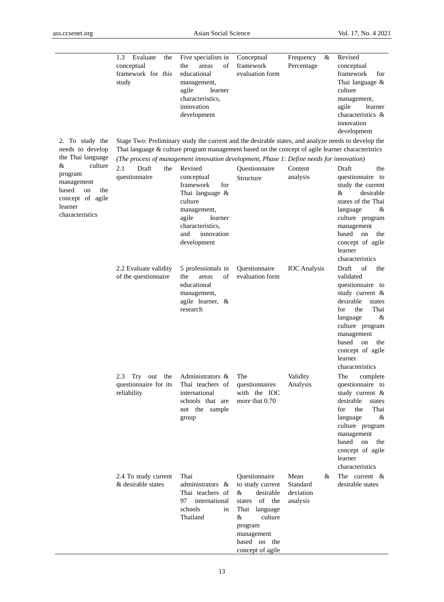$\overline{\phantom{0}}$ 

|                                                                                                               | 1.3<br>Evaluate<br>the<br>conceptual<br>framework for this<br>study                                                                                                                                     | Five specialists in<br>of<br>the<br>areas<br>educational<br>management,<br>agile<br>learner<br>characteristics.<br>innovation<br>development                       | Conceptual<br>framework<br>evaluation form                                                                                                                         | Frequency<br>&<br>Percentage                   | Revised<br>conceptual<br>framework<br>for<br>Thai language $\&$<br>culture<br>management,<br>agile<br>learner<br>characteristics &<br>innovation<br>development                                                                               |
|---------------------------------------------------------------------------------------------------------------|---------------------------------------------------------------------------------------------------------------------------------------------------------------------------------------------------------|--------------------------------------------------------------------------------------------------------------------------------------------------------------------|--------------------------------------------------------------------------------------------------------------------------------------------------------------------|------------------------------------------------|-----------------------------------------------------------------------------------------------------------------------------------------------------------------------------------------------------------------------------------------------|
| 2. To study the<br>needs to develop                                                                           | Stage Two: Preliminary study the current and the desirable states, and analyze needs to develop the<br>Thai language & culture program management based on the concept of agile learner characteristics |                                                                                                                                                                    |                                                                                                                                                                    |                                                |                                                                                                                                                                                                                                               |
| the Thai language                                                                                             | (The process of management innovation development, Phase 1: Define needs for innovation)                                                                                                                |                                                                                                                                                                    |                                                                                                                                                                    |                                                |                                                                                                                                                                                                                                               |
| culture<br>&<br>program<br>management<br>based<br>the<br>on<br>concept of agile<br>learner<br>characteristics | 2.1<br>Draft<br>the<br>questionnaire                                                                                                                                                                    | Revised<br>conceptual<br>framework<br>for<br>Thai language &<br>culture<br>management,<br>agile<br>learner<br>characteristics.<br>innovation<br>and<br>development | Questionnaire<br>Structure                                                                                                                                         | Content<br>analysis                            | Draft<br>the<br>questionnaire to<br>study the current<br>&<br>desirable<br>states of the Thai<br>language<br>&<br>culture program<br>management<br>based<br>on<br>the<br>concept of agile<br>learner<br>characteristics                       |
|                                                                                                               | 2.2 Evaluate validity<br>of the questionnaire                                                                                                                                                           | 5 professionals in<br>the<br>areas<br>of<br>educational<br>management,<br>agile learner, &<br>research                                                             | <b>Ouestionnaire</b><br>evaluation form                                                                                                                            | <b>IOC</b> Analysis                            | of<br>Draft<br>the<br>validated<br>questionnaire to<br>study current &<br>desirable<br>states<br>the<br>Thai<br>for<br>language<br>&<br>culture program<br>management<br>based<br>on<br>the<br>concept of agile<br>learner<br>characteristics |
|                                                                                                               | 2.3<br>Try<br>the<br>out<br>questionnaire for its<br>reliability                                                                                                                                        | Administrators &<br>Thai teachers of<br>international<br>schools that are<br>not the sample<br>group                                                               | The<br>questionnaires<br>with the IOC<br>more that 0.70                                                                                                            | Validity<br>Analysis                           | The<br>complete<br>questionnaire to<br>study current &<br>desirable<br>states<br>for<br>the<br>Thai<br>language<br>&<br>culture program<br>management<br>based<br>${\rm on}$<br>the<br>concept of agile<br>learner<br>characteristics         |
|                                                                                                               | 2.4 To study current<br>& desirable states                                                                                                                                                              | Thai<br>administrators &<br>Thai teachers of<br>international<br>97<br>schools<br>in<br>Thailand                                                                   | Questionnaire<br>to study current<br>desirable<br>&<br>states of the<br>Thai language<br>&<br>culture<br>program<br>management<br>based on the<br>concept of agile | Mean<br>&<br>Standard<br>deviation<br>analysis | The current $\&$<br>desirable states                                                                                                                                                                                                          |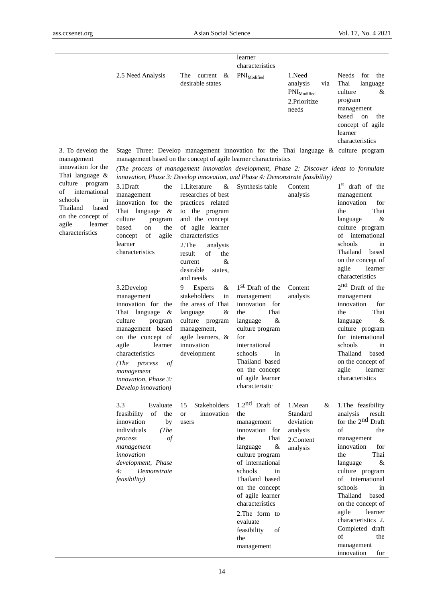$\overline{\phantom{a}}$ 

|                   |                                                                                       |                                         | learner<br>characteristics     |                                                                         |                                                                                                                                                       |
|-------------------|---------------------------------------------------------------------------------------|-----------------------------------------|--------------------------------|-------------------------------------------------------------------------|-------------------------------------------------------------------------------------------------------------------------------------------------------|
|                   | 2.5 Need Analysis                                                                     | current $\&$<br>The<br>desirable states | $\text{PNI}_{\text{Modified}}$ | 1.Need<br>via<br>analysis<br>$PMI_{Modified}$<br>2. Prioritize<br>needs | Needs<br>for the<br>Thai<br>language<br>culture<br>&<br>program<br>management<br>based<br>the<br>on<br>concept of agile<br>learner<br>characteristics |
| 3. To develop the | Stage Three: Develop management innovation for the Thai language $\&$ culture program |                                         |                                |                                                                         |                                                                                                                                                       |

Stage Three: Develop management innovation for the Thai language & culture program management based on the concept of agile learner characteristics

*(The process of management innovation development, Phase 2: Discover ideas to formulate innovation, Phase 3: Develop innovation, and Phase 4: Demonstrate feasibility)*

| m<br>al<br>in<br>эd<br>of<br>er | 3.1Draft<br>the<br>management<br>innovation for the<br>Thai language<br>&<br>culture<br>program<br>based<br>the<br>on<br>of<br>agile<br>concept<br>learner<br>characteristics<br>3.2Develop<br>management<br>innovation for the<br>Thai language<br>& | 1. Literature<br>&<br>researches of best<br>practices related<br>to the program<br>and the concept<br>of agile learner<br>characteristics<br>2.The<br>analysis<br>result<br>of<br>the<br>&<br>current<br>desirable<br>states.<br>and needs<br>Experts<br>9<br>&<br>stakeholders<br>in<br>the areas of Thai<br>&<br>language | Synthesis table<br>1 <sup>st</sup> Draft of the<br>management<br>innovation for<br>Thai<br>the                                                                                                                                                                                                     | Content<br>analysis<br>Content<br>analysis                                | $1st$ draft of the<br>management<br>innovation<br>for<br>Thai<br>the<br>language<br>&<br>culture program<br>of<br>international<br>schools<br>in<br>Thailand based<br>on the concept of<br>agile<br>learner<br>characteristics<br>2 <sup>nd</sup> Draft of the<br>management<br>innovation<br>for<br>Thai<br>the                                                         |
|---------------------------------|-------------------------------------------------------------------------------------------------------------------------------------------------------------------------------------------------------------------------------------------------------|-----------------------------------------------------------------------------------------------------------------------------------------------------------------------------------------------------------------------------------------------------------------------------------------------------------------------------|----------------------------------------------------------------------------------------------------------------------------------------------------------------------------------------------------------------------------------------------------------------------------------------------------|---------------------------------------------------------------------------|--------------------------------------------------------------------------------------------------------------------------------------------------------------------------------------------------------------------------------------------------------------------------------------------------------------------------------------------------------------------------|
|                                 | culture<br>program<br>management based<br>on the concept of<br>agile<br>learner<br>characteristics<br>(The<br>process<br>οf<br>management<br>innovation, Phase 3:<br>Develop innovation)                                                              | culture program<br>management,<br>agile learners, &<br>innovation<br>development                                                                                                                                                                                                                                            | &<br>language<br>culture program<br>for<br>international<br>schools<br>in<br>Thailand based<br>on the concept<br>of agile learner<br>characteristic                                                                                                                                                |                                                                           | &<br>language<br>culture program<br>for international<br>schools<br>in<br>Thailand<br>based<br>on the concept of<br>agile<br>learner<br>characteristics                                                                                                                                                                                                                  |
|                                 | 3.3<br>Evaluate<br>of<br>feasibility<br>the<br>innovation<br>by<br>individuals<br>(The<br>process<br>οf<br>management<br>innovation<br>development, Phase<br>4:<br>Demonstrate<br>feasibility)                                                        | 15<br>Stakeholders<br><b>or</b><br>innovation<br>users                                                                                                                                                                                                                                                                      | $1.2nd$ Draft of<br>the<br>management<br>innovation for<br>Thai<br>the<br>&<br>language<br>culture program<br>of international<br>schools<br>in<br>Thailand based<br>on the concept<br>of agile learner<br>characteristics<br>2. The form to<br>evaluate<br>feasibility<br>of<br>the<br>management | 1.Mean<br>&<br>Standard<br>deviation<br>analysis<br>2.Content<br>analysis | 1. The feasibility<br>analysis<br>result<br>for the 2 <sup>nd</sup> Draft<br>of<br>the<br>management<br>innovation<br>for<br>Thai<br>the<br>&<br>language<br>culture program<br>of<br>international<br>schools<br>in<br>Thailand based<br>on the concept of<br>agile<br>learner<br>characteristics 2.<br>Completed draft<br>of<br>the<br>management<br>innovation<br>for |

culture program of internation schools Thailand base on the concept agile learne characteristics

management innovation for the Thai language &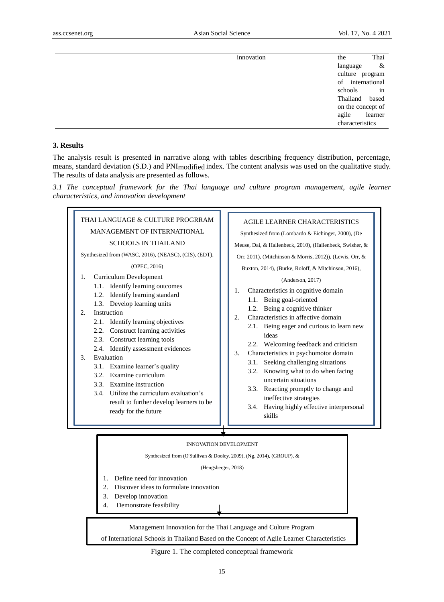| innovation | Thai<br>the          |
|------------|----------------------|
|            | $\alpha$<br>language |
|            | culture program      |
|            | of international     |
|            | $\sin$<br>schools    |
|            | Thailand based       |
|            | on the concept of    |
|            | agile learner        |
|            | characteristics      |

### **3. Results**

The analysis result is presented in narrative along with tables describing frequency distribution, percentage, means, standard deviation (S.D.) and PNImodified index. The content analysis was used on the qualitative study. The results of data analysis are presented as follows.

*3.1 The conceptual framework for the Thai language and culture program management, agile learner characteristics, and innovation development*



of International Schools in Thailand Based on the Concept of Agile Learner Characteristics

Figure 1. The completed conceptual framework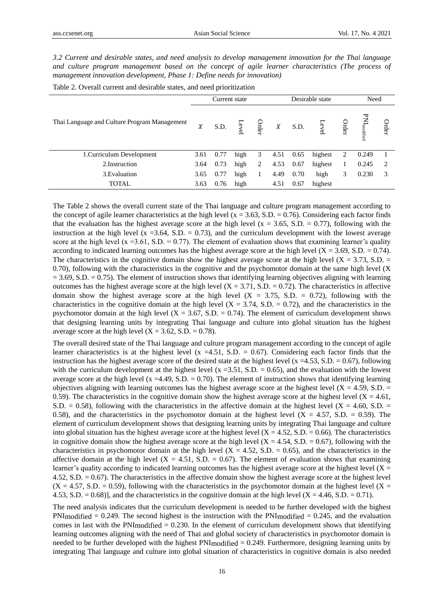*3.2 Current and desirable states, and need analysis to develop management innovation for the Thai language and culture program management based on the concept of agile learner characteristics (The process of management innovation development, Phase 1: Define needs for innovation)*

|                                              |      | Current state |      |       |      | Desirable state |         |              | Need                                                                            |                             |
|----------------------------------------------|------|---------------|------|-------|------|-----------------|---------|--------------|---------------------------------------------------------------------------------|-----------------------------|
| Thai Language and Culture Program Management | X    | S.D.          |      | Order | X    | S.D.            | Φ       | <b>Irder</b> | $\ensuremath{\mathrm{PM}\xspace}$<br>LM $\ensuremath{\mathrm{modified}\xspace}$ | Order                       |
| 1. Curriculum Development                    | 3.61 | 0.77          | high | 3     | 4.51 | 0.65            | highest | 2            | 0.249                                                                           |                             |
| 2. Instruction                               | 3.64 | 0.73          | high | 2     | 4.53 | 0.67            | highest | 1            | 0.245                                                                           | $\mathcal{D}_{\mathcal{L}}$ |
| 3. Evaluation                                | 3.65 | 0.77          | high |       | 4.49 | 0.70            | high    | 3            | 0.230                                                                           | 3                           |
| <b>TOTAL</b>                                 | 3.63 | 0.76          | high |       | 4.51 | 0.67            | highest |              |                                                                                 |                             |

Table 2. Overall current and desirable states, and need prioritization

The Table 2 shows the overall current state of the Thai language and culture program management according to the concept of agile learner characteristics at the high level ( $x = 3.63$ , S.D. = 0.76). Considering each factor finds that the evaluation has the highest average score at the high level (x = 3.65, S.D. = 0.77), following with the instruction at the high level  $(x = 3.64, S.D. = 0.73)$ , and the curriculum development with the lowest average score at the high level (x = 3.61, S.D. = 0.77). The element of evaluation shows that examining learner's quality according to indicated learning outcomes has the highest average score at the high level  $(X = 3.69, S.D. = 0.74)$ . The characteristics in the cognitive domain show the highest average score at the high level  $(X = 3.73, S.D. =$ 0.70), following with the characteristics in the cognitive and the psychomotor domain at the same high level (X  $= 3.69$ , S.D.  $= 0.75$ ). The element of instruction shows that identifying learning objectives aligning with learning outcomes has the highest average score at the high level  $(X = 3.71, S.D. = 0.72)$ . The characteristics in affective domain show the highest average score at the high level  $(X = 3.75, S.D. = 0.72)$ , following with the characteristics in the cognitive domain at the high level  $(X = 3.74, S.D. = 0.72)$ , and the characteristics in the psychomotor domain at the high level  $(X = 3.67, S.D. = 0.74)$ . The element of curriculum development shows that designing learning units by integrating Thai language and culture into global situation has the highest average score at the high level  $(X = 3.62, S.D. = 0.78)$ .

The overall desired state of the Thai language and culture program management according to the concept of agile learner characteristics is at the highest level (x =4.51, S.D. = 0.67). Considering each factor finds that the instruction has the highest average score of the desired state at the highest level (x =4.53, S.D. = 0.67), following with the curriculum development at the highest level (x = 3.51, S.D. = 0.65), and the evaluation with the lowest average score at the high level (x =4.49, S.D. = 0.70). The element of instruction shows that identifying learning objectives aligning with learning outcomes has the highest average score at the highest level  $(X = 4.59, S.D. =$ 0.59). The characteristics in the cognitive domain show the highest average score at the highest level  $(X = 4.61,$ S.D. = 0.58), following with the characteristics in the affective domain at the highest level  $(X = 4.60, S.D. =$ 0.58), and the characteristics in the psychomotor domain at the highest level  $(X = 4.57, S.D. = 0.59)$ . The element of curriculum development shows that designing learning units by integrating Thai language and culture into global situation has the highest average score at the highest level  $(X = 4.52, S.D. = 0.66)$ . The characteristics in cognitive domain show the highest average score at the high level  $(X = 4.54, S.D. = 0.67)$ , following with the characteristics in psychomotor domain at the high level  $(X = 4.52, S.D. = 0.65)$ , and the characteristics in the affective domain at the high level  $(X = 4.51, S.D. = 0.67)$ . The element of evaluation shows that examining learner's quality according to indicated learning outcomes has the highest average score at the highest level  $(X =$ 4.52, S.D. = 0.67). The characteristics in the affective domain show the highest average score at the highest level  $(X = 4.57, S.D. = 0.59)$ , following with the characteristics in the psychomotor domain at the highest level  $(X = 1.57, S.D. = 0.59)$ 4.53, S.D.  $= 0.68$ )], and the characteristics in the cognitive domain at the high level  $(X = 4.46, S.D. = 0.71)$ .

The need analysis indicates that the curriculum development is needed to be further developed with the highest  $PNI_{modified} = 0.249$ . The second highest is the instruction with the  $PNI_{modified} = 0.245$ , and the evaluation comes in last with the PNI<sub>modified</sub>  $= 0.230$ . In the element of curriculum development shows that identifying learning outcomes aligning with the need of Thai and global society of characteristics in psychomotor domain is needed to be further developed with the highest PNImodified = 0.249. Furthermore, designing learning units by integrating Thai language and culture into global situation of characteristics in cognitive domain is also needed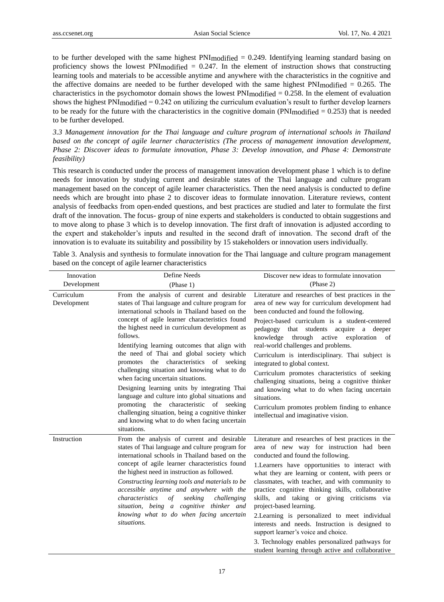to be further developed with the same highest  $PNImodified = 0.249$ . Identifying learning standard basing on proficiency shows the lowest PNI $_{modified}$  = 0.247. In the element of instruction shows that constructing learning tools and materials to be accessible anytime and anywhere with the characteristics in the cognitive and the affective domains are needed to be further developed with the same highest PNImodified = 0.265. The characteristics in the psychomotor domain shows the lowest PNImodified = 0.258. In the element of evaluation shows the highest PNImodified = 0.242 on utilizing the curriculum evaluation's result to further develop learners to be ready for the future with the characteristics in the cognitive domain (PNI $modified = 0.253$ ) that is needed to be further developed.

*3.3 Management innovation for the Thai language and culture program of international schools in Thailand based on the concept of agile learner characteristics (The process of management innovation development, Phase 2: Discover ideas to formulate innovation, Phase 3: Develop innovation, and Phase 4: Demonstrate feasibility)*

This research is conducted under the process of management innovation development phase 1 which is to define needs for innovation by studying current and desirable states of the Thai language and culture program management based on the concept of agile learner characteristics. Then the need analysis is conducted to define needs which are brought into phase 2 to discover ideas to formulate innovation. Literature reviews, content analysis of feedbacks from open-ended questions, and best practices are studied and later to formulate the first draft of the innovation. The focus- group of nine experts and stakeholders is conducted to obtain suggestions and to move along to phase 3 which is to develop innovation. The first draft of innovation is adjusted according to the expert and stakeholder's inputs and resulted in the second draft of innovation. The second draft of the innovation is to evaluate its suitability and possibility by 15 stakeholders or innovation users individually.

| Innovation                | Define Needs                                                                                                                                                                                                                                                                                                                                                                                                                                                                                                                                                                                                                                                                                                                                                  | Discover new ideas to formulate innovation                                                                                                                                                                                                                                                                                                                                                                                                                                                                                                                                                                                                                                                                 |
|---------------------------|---------------------------------------------------------------------------------------------------------------------------------------------------------------------------------------------------------------------------------------------------------------------------------------------------------------------------------------------------------------------------------------------------------------------------------------------------------------------------------------------------------------------------------------------------------------------------------------------------------------------------------------------------------------------------------------------------------------------------------------------------------------|------------------------------------------------------------------------------------------------------------------------------------------------------------------------------------------------------------------------------------------------------------------------------------------------------------------------------------------------------------------------------------------------------------------------------------------------------------------------------------------------------------------------------------------------------------------------------------------------------------------------------------------------------------------------------------------------------------|
| Development               | (Phase 1)                                                                                                                                                                                                                                                                                                                                                                                                                                                                                                                                                                                                                                                                                                                                                     | (Phase 2)                                                                                                                                                                                                                                                                                                                                                                                                                                                                                                                                                                                                                                                                                                  |
| Curriculum<br>Development | From the analysis of current and desirable<br>states of Thai language and culture program for<br>international schools in Thailand based on the<br>concept of agile learner characteristics found<br>the highest need in curriculum development as<br>follows.<br>Identifying learning outcomes that align with<br>the need of Thai and global society which<br>promotes the characteristics of seeking<br>challenging situation and knowing what to do<br>when facing uncertain situations.<br>Designing learning units by integrating Thai<br>language and culture into global situations and<br>promoting the characteristic of seeking<br>challenging situation, being a cognitive thinker<br>and knowing what to do when facing uncertain<br>situations. | Literature and researches of best practices in the<br>area of new way for curriculum development had<br>been conducted and found the following.<br>Project-based curriculum is a student-centered<br>pedagogy<br>that students acquire a deeper<br>through active<br>knowledge<br>exploration<br><sub>of</sub><br>real-world challenges and problems.<br>Curriculum is interdisciplinary. Thai subject is<br>integrated to global context.<br>Curriculum promotes characteristics of seeking<br>challenging situations, being a cognitive thinker<br>and knowing what to do when facing uncertain<br>situations.<br>Curriculum promotes problem finding to enhance<br>intellectual and imaginative vision. |
| Instruction               | From the analysis of current and desirable<br>states of Thai language and culture program for<br>international schools in Thailand based on the<br>concept of agile learner characteristics found<br>the highest need in instruction as followed.<br>Constructing learning tools and materials to be<br>accessible anytime and anywhere with the<br>seeking<br>characteristics<br>of<br>challenging<br>situation, being a cognitive thinker and<br>knowing what to do when facing uncertain<br>situations.                                                                                                                                                                                                                                                    | Literature and researches of best practices in the<br>area of new way for instruction had been<br>conducted and found the following.<br>1. Learners have opportunities to interact with<br>what they are learning or content, with peers or<br>classmates, with teacher, and with community to<br>practice cognitive thinking skills, collaborative<br>skills, and taking or giving criticisms via<br>project-based learning.<br>2. Learning is personalized to meet individual<br>interests and needs. Instruction is designed to<br>support learner's voice and choice.<br>3. Technology enables personalized pathways for<br>student learning through active and collaborative                          |

Table 3. Analysis and synthesis to formulate innovation for the Thai language and culture program management based on the concept of agile learner characteristics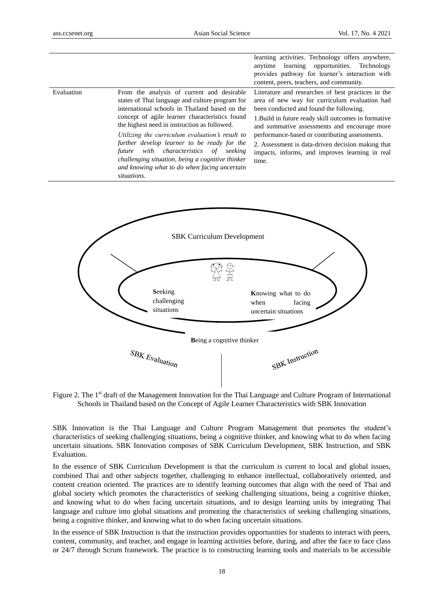|            |                                                                                                                                                                                                                                                                                                                                                                                                                                                                                                                     | learning activities. Technology offers anywhere,<br>anytime learning opportunities. Technology<br>provides pathway for learner's interaction with<br>content, peers, teachers, and community.                                                                                                                                                                                                                             |
|------------|---------------------------------------------------------------------------------------------------------------------------------------------------------------------------------------------------------------------------------------------------------------------------------------------------------------------------------------------------------------------------------------------------------------------------------------------------------------------------------------------------------------------|---------------------------------------------------------------------------------------------------------------------------------------------------------------------------------------------------------------------------------------------------------------------------------------------------------------------------------------------------------------------------------------------------------------------------|
| Evaluation | From the analysis of current and desirable<br>states of Thai language and culture program for<br>international schools in Thailand based on the<br>concept of agile learner characteristics found<br>the highest need in instruction as followed.<br>Utilizing the curriculum evaluation's result to<br>further develop learner to be ready for the<br>with characteristics of seeking<br>future<br>challenging situation, being a cognitive thinker<br>and knowing what to do when facing uncertain<br>situations. | Literature and researches of best practices in the<br>area of new way for curriculum evaluation had<br>been conducted and found the following.<br>1. Build in future ready skill outcomes in formative<br>and summative assessments and encourage more<br>performance-based or contributing assessments.<br>2. Assessment is data-driven decision making that<br>impacts, informs, and improves learning in real<br>time. |



Figure 2. The 1<sup>st</sup> draft of the Management Innovation for the Thai Language and Culture Program of International Schools in Thailand based on the Concept of Agile Learner Characteristics with SBK Innovation

SBK Innovation is the Thai Language and Culture Program Management that promotes the student's characteristics of seeking challenging situations, being a cognitive thinker, and knowing what to do when facing uncertain situations. SBK Innovation composes of SBK Curriculum Development, SBK Instruction, and SBK Evaluation.

In the essence of SBK Curriculum Development is that the curriculum is current to local and global issues, combined Thai and other subjects together, challenging to enhance intellectual, collaboratively oriented, and content creation oriented. The practices are to identify learning outcomes that align with the need of Thai and global society which promotes the characteristics of seeking challenging situations, being a cognitive thinker, and knowing what to do when facing uncertain situations, and to design learning units by integrating Thai language and culture into global situations and promoting the characteristics of seeking challenging situations, being a cognitive thinker, and knowing what to do when facing uncertain situations.

In the essence of SBK Instruction is that the instruction provides opportunities for students to interact with peers, content, community, and teacher, and engage in learning activities before, during, and after the face to face class or 24/7 through Scrum framework. The practice is to constructing learning tools and materials to be accessible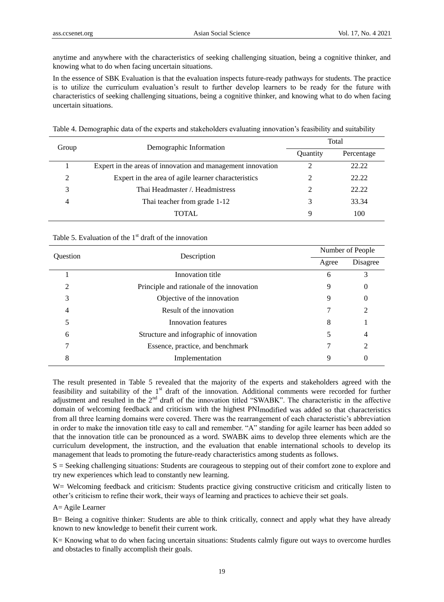anytime and anywhere with the characteristics of seeking challenging situation, being a cognitive thinker, and knowing what to do when facing uncertain situations.

In the essence of SBK Evaluation is that the evaluation inspects future-ready pathways for students. The practice is to utilize the curriculum evaluation's result to further develop learners to be ready for the future with characteristics of seeking challenging situations, being a cognitive thinker, and knowing what to do when facing uncertain situations.

|  | Table 4. Demographic data of the experts and stakeholders evaluating innovation's feasibility and suitability |  |
|--|---------------------------------------------------------------------------------------------------------------|--|
|  |                                                                                                               |  |

| Group    | Demographic Information                                     | Total         |            |  |
|----------|-------------------------------------------------------------|---------------|------------|--|
|          |                                                             | Quantity      | Percentage |  |
|          | Expert in the areas of innovation and management innovation | ∍             | 22.22      |  |
| $\gamma$ | Expert in the area of agile learner characteristics         |               | 22.22      |  |
| 3        | Thai Headmaster / Headmistress                              | $\mathcal{L}$ | 22.22      |  |
|          | Thai teacher from grade 1-12                                | 3             | 33.34      |  |
|          | <b>TOTAL</b>                                                | Q             | 100        |  |

## Table 5. Evaluation of the  $1<sup>st</sup>$  draft of the innovation

| <b>Ouestion</b> | Description                               |       | Number of People |  |  |
|-----------------|-------------------------------------------|-------|------------------|--|--|
|                 |                                           | Agree | Disagree         |  |  |
|                 | Innovation title                          | 6     | 3                |  |  |
| ∍               | Principle and rationale of the innovation | 9     | 0                |  |  |
| 3               | Objective of the innovation               | 9     | 0                |  |  |
| 4               | Result of the innovation                  |       | 2                |  |  |
|                 | Innovation features                       | 8     |                  |  |  |
| 6               | Structure and infographic of innovation   |       | 4                |  |  |
|                 | Essence, practice, and benchmark          |       | $\overline{c}$   |  |  |
| 8               | Implementation                            | 9     | 0                |  |  |

The result presented in Table 5 revealed that the majority of the experts and stakeholders agreed with the feasibility and suitability of the 1<sup>st</sup> draft of the innovation. Additional comments were recorded for further adjustment and resulted in the 2<sup>nd</sup> draft of the innovation titled "SWABK". The characteristic in the affective domain of welcoming feedback and criticism with the highest PNImodified was added so that characteristics from all three learning domains were covered. There was the rearrangement of each characteristic's abbreviation in order to make the innovation title easy to call and remember. "A" standing for agile learner has been added so that the innovation title can be pronounced as a word. SWABK aims to develop three elements which are the curriculum development, the instruction, and the evaluation that enable international schools to develop its management that leads to promoting the future-ready characteristics among students as follows.

S = Seeking challenging situations: Students are courageous to stepping out of their comfort zone to explore and try new experiences which lead to constantly new learning.

W= Welcoming feedback and criticism: Students practice giving constructive criticism and critically listen to other's criticism to refine their work, their ways of learning and practices to achieve their set goals.

A= Agile Learner

B= Being a cognitive thinker: Students are able to think critically, connect and apply what they have already known to new knowledge to benefit their current work.

K= Knowing what to do when facing uncertain situations: Students calmly figure out ways to overcome hurdles and obstacles to finally accomplish their goals.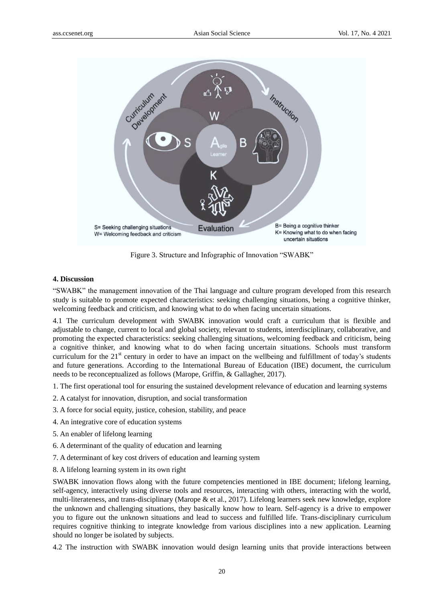

Figure 3. Structure and Infographic of Innovation "SWABK"

## **4. Discussion**

"SWABK" the management innovation of the Thai language and culture program developed from this research study is suitable to promote expected characteristics: seeking challenging situations, being a cognitive thinker, welcoming feedback and criticism, and knowing what to do when facing uncertain situations.

4.1 The curriculum development with SWABK innovation would craft a curriculum that is flexible and adjustable to change, current to local and global society, relevant to students, interdisciplinary, collaborative, and promoting the expected characteristics: seeking challenging situations, welcoming feedback and criticism, being a cognitive thinker, and knowing what to do when facing uncertain situations. Schools must transform curriculum for the  $21<sup>st</sup>$  century in order to have an impact on the wellbeing and fulfillment of today's students and future generations. According to the International Bureau of Education (IBE) document, the curriculum needs to be reconceptualized as follows (Marope, Griffin, & Gallagher, 2017).

- 1. The first operational tool for ensuring the sustained development relevance of education and learning systems
- 2. A catalyst for innovation, disruption, and social transformation
- 3. A force for social equity, justice, cohesion, stability, and peace
- 4. An integrative core of education systems
- 5. An enabler of lifelong learning
- 6. A determinant of the quality of education and learning
- 7. A determinant of key cost drivers of education and learning system
- 8. A lifelong learning system in its own right

SWABK innovation flows along with the future competencies mentioned in IBE document; lifelong learning, self-agency, interactively using diverse tools and resources, interacting with others, interacting with the world, multi-literateness, and trans-disciplinary (Marope & et al., 2017). Lifelong learners seek new knowledge, explore the unknown and challenging situations, they basically know how to learn. Self-agency is a drive to empower you to figure out the unknown situations and lead to success and fulfilled life. Trans-disciplinary curriculum requires cognitive thinking to integrate knowledge from various disciplines into a new application. Learning should no longer be isolated by subjects.

4.2 The instruction with SWABK innovation would design learning units that provide interactions between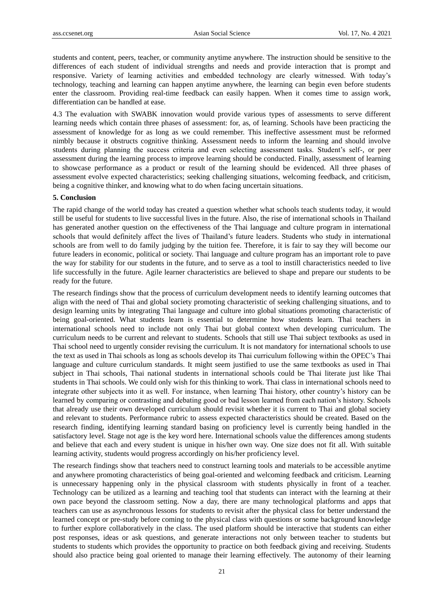students and content, peers, teacher, or community anytime anywhere. The instruction should be sensitive to the differences of each student of individual strengths and needs and provide interaction that is prompt and responsive. Variety of learning activities and embedded technology are clearly witnessed. With today's technology, teaching and learning can happen anytime anywhere, the learning can begin even before students enter the classroom. Providing real-time feedback can easily happen. When it comes time to assign work, differentiation can be handled at ease.

4.3 The evaluation with SWABK innovation would provide various types of assessments to serve different learning needs which contain three phases of assessment: for, as, of learning. Schools have been practicing the assessment of knowledge for as long as we could remember. This ineffective assessment must be reformed nimbly because it obstructs cognitive thinking. Assessment needs to inform the learning and should involve students during planning the success criteria and even selecting assessment tasks. Student's self-, or peer assessment during the learning process to improve learning should be conducted. Finally, assessment of learning to showcase performance as a product or result of the learning should be evidenced. All three phases of assessment evolve expected characteristics; seeking challenging situations, welcoming feedback, and criticism, being a cognitive thinker, and knowing what to do when facing uncertain situations.

#### **5. Conclusion**

The rapid change of the world today has created a question whether what schools teach students today, it would still be useful for students to live successful lives in the future. Also, the rise of international schools in Thailand has generated another question on the effectiveness of the Thai language and culture program in international schools that would definitely affect the lives of Thailand's future leaders. Students who study in international schools are from well to do family judging by the tuition fee. Therefore, it is fair to say they will become our future leaders in economic, political or society. Thai language and culture program has an important role to pave the way for stability for our students in the future, and to serve as a tool to instill characteristics needed to live life successfully in the future. Agile learner characteristics are believed to shape and prepare our students to be ready for the future.

The research findings show that the process of curriculum development needs to identify learning outcomes that align with the need of Thai and global society promoting characteristic of seeking challenging situations, and to design learning units by integrating Thai language and culture into global situations promoting characteristic of being goal-oriented. What students learn is essential to determine how students learn. Thai teachers in international schools need to include not only Thai but global context when developing curriculum. The curriculum needs to be current and relevant to students. Schools that still use Thai subject textbooks as used in Thai school need to urgently consider revising the curriculum. It is not mandatory for international schools to use the text as used in Thai schools as long as schools develop its Thai curriculum following within the OPEC's Thai language and culture curriculum standards. It might seem justified to use the same textbooks as used in Thai subject in Thai schools, Thai national students in international schools could be Thai literate just like Thai students in Thai schools. We could only wish for this thinking to work. Thai class in international schools need to integrate other subjects into it as well. For instance, when learning Thai history, other country's history can be learned by comparing or contrasting and debating good or bad lesson learned from each nation's history. Schools that already use their own developed curriculum should revisit whether it is current to Thai and global society and relevant to students. Performance rubric to assess expected characteristics should be created. Based on the research finding, identifying learning standard basing on proficiency level is currently being handled in the satisfactory level. Stage not age is the key word here. International schools value the differences among students and believe that each and every student is unique in his/her own way. One size does not fit all. With suitable learning activity, students would progress accordingly on his/her proficiency level.

The research findings show that teachers need to construct learning tools and materials to be accessible anytime and anywhere promoting characteristics of being goal-oriented and welcoming feedback and criticism. Learning is unnecessary happening only in the physical classroom with students physically in front of a teacher. Technology can be utilized as a learning and teaching tool that students can interact with the learning at their own pace beyond the classroom setting. Now a day, there are many technological platforms and apps that teachers can use as asynchronous lessons for students to revisit after the physical class for better understand the learned concept or pre-study before coming to the physical class with questions or some background knowledge to further explore collaboratively in the class. The used platform should be interactive that students can either post responses, ideas or ask questions, and generate interactions not only between teacher to students but students to students which provides the opportunity to practice on both feedback giving and receiving. Students should also practice being goal oriented to manage their learning effectively. The autonomy of their learning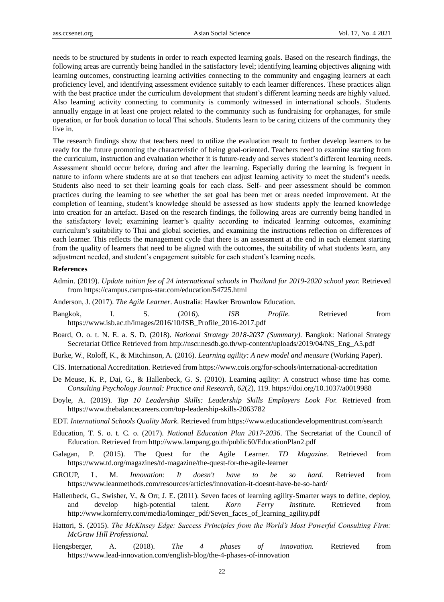needs to be structured by students in order to reach expected learning goals. Based on the research findings, the following areas are currently being handled in the satisfactory level; identifying learning objectives aligning with learning outcomes, constructing learning activities connecting to the community and engaging learners at each proficiency level, and identifying assessment evidence suitably to each learner differences. These practices align with the best practice under the curriculum development that student's different learning needs are highly valued. Also learning activity connecting to community is commonly witnessed in international schools. Students annually engage in at least one project related to the community such as fundraising for orphanages, for smile operation, or for book donation to local Thai schools. Students learn to be caring citizens of the community they live in.

The research findings show that teachers need to utilize the evaluation result to further develop learners to be ready for the future promoting the characteristic of being goal-oriented. Teachers need to examine starting from the curriculum, instruction and evaluation whether it is future-ready and serves student's different learning needs. Assessment should occur before, during and after the learning. Especially during the learning is frequent in nature to inform where students are at so that teachers can adjust learning activity to meet the student's needs. Students also need to set their learning goals for each class. Self- and peer assessment should be common practices during the learning to see whether the set goal has been met or areas needed improvement. At the completion of learning, student's knowledge should be assessed as how students apply the learned knowledge into creation for an artefact. Based on the research findings, the following areas are currently being handled in the satisfactory level; examining learner's quality according to indicated learning outcomes, examining curriculum's suitability to Thai and global societies, and examining the instructions reflection on differences of each learner. This reflects the management cycle that there is an assessment at the end in each element starting from the quality of learners that need to be aligned with the outcomes, the suitability of what students learn, any adjustment needed, and student's engagement suitable for each student's learning needs.

#### **References**

- Admin. (2019). *Update tuition fee of 24 international schools in Thailand for 2019-2020 school year.* Retrieved from <https://campus.campus-star.com/education/54725.html>
- Anderson, J. (2017). *The Agile Learner*. Australia: Hawker Brownlow Education.
- Bangkok, I. S. (2016). *ISB Profile.* Retrieved from [https://www.isb.ac.th/images/2016/10/ISB\\_Profile\\_2016-2017.pdf](https://www.isb.ac.th/images/2016/10/ISB_Profile_2016-2017.pdf)
- Board, O. o. t. N. E. a. S. D. (2018). *National Strategy 2018-2037 (Summary)*. Bangkok: National Strategy Secretariat Office Retrieved from [http://nscr.nesdb.go.th/wp-content/uploads/2019/04/NS\\_Eng\\_A5.pdf](http://nscr.nesdb.go.th/wp-content/uploads/2019/04/NS_Eng_A5.pdf)
- Burke, W., Roloff, K., & Mitchinson, A. (2016). *Learning agility: A new model and measure* (Working Paper).
- CIS. International Accreditation. Retrieved from <https://www.cois.org/for-schools/international-accreditation>
- De Meuse, K. P., Dai, G., & Hallenbeck, G. S. (2010). Learning agility: A construct whose time has come. *Consulting Psychology Journal: Practice and Research, 62*(2), 119. https://doi.org/10.1037/a0019988
- Doyle, A. (2019). *Top 10 Leadership Skills: Leadership Skills Employers Look For.* Retrieved from <https://www.thebalancecareers.com/top-leadership-skills-2063782>
- EDT. *International Schools Quality Mark*. Retrieved from<https://www.educationdevelopmenttrust.com/search>
- Education, T. S. o. t. C. o. (2017). *National Education Plan 2017-2036*. The Secretariat of the Council of Education. Retrieved from<http://www.lampang.go.th/public60/EducationPlan2.pdf>
- Galagan, P. (2015). The Quest for the Agile Learner. *TD Magazine*. Retrieved from <https://www.td.org/magazines/td-magazine/the-quest-for-the-agile-learner>
- GROUP, L. M. *Innovation: It doesn't have to be so hard.* Retrieved from <https://www.leanmethods.com/resources/articles/innovation-it-doesnt-have-be-so-hard/>
- Hallenbeck, G., Swisher, V., & Orr, J. E. (2011). Seven faces of learning agility-Smarter ways to define, deploy, and develop high-potential talent. *Korn Ferry Institute.* Retrieved from [http://www.](http://www/)kornferry.com/media/lominger\_pdf/Seven\_faces\_of\_learning\_agility.pdf
- Hattori, S. (2015). *The McKinsey Edge: Success Principles from the World's Most Powerful Consulting Firm: McGraw Hill Professional.*
- Hengsberger, A. (2018). *The 4 phases of innovation.* Retrieved from <https://www.lead-innovation.com/english-blog/the-4-phases-of-innovation>